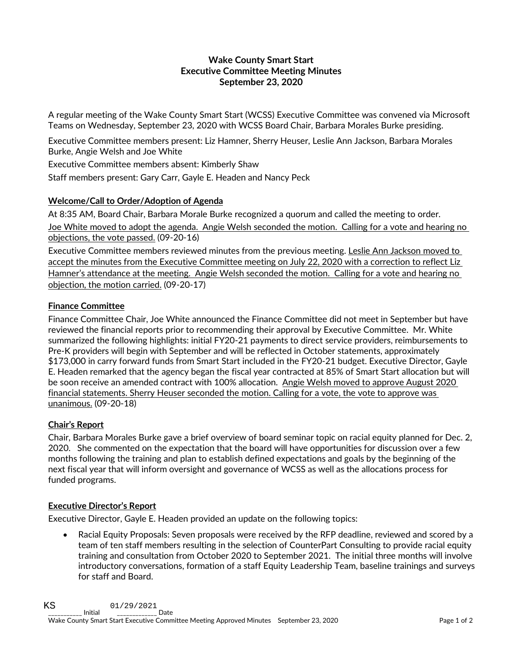## **Wake County Smart Start Executive Committee Meeting Minutes September 23, 2020**

A regular meeting of the Wake County Smart Start (WCSS) Executive Committee was convened via Microsoft Teams on Wednesday, September 23, 2020 with WCSS Board Chair, Barbara Morales Burke presiding.

Executive Committee members present: Liz Hamner, Sherry Heuser, Leslie Ann Jackson, Barbara Morales Burke, Angie Welsh and Joe White

Executive Committee members absent: Kimberly Shaw

Staff members present: Gary Carr, Gayle E. Headen and Nancy Peck

## **Welcome/Call to Order/Adoption of Agenda**

At 8:35 AM, Board Chair, Barbara Morale Burke recognized a quorum and called the meeting to order. Joe White moved to adopt the agenda. Angie Welsh seconded the motion. Calling for a vote and hearing no objections, the vote passed. (09-20-16)

Executive Committee members reviewed minutes from the previous meeting. Leslie Ann Jackson moved to accept the minutes from the Executive Committee meeting on July 22, 2020 with a correction to reflect Liz Hamner's attendance at the meeting. Angie Welsh seconded the motion. Calling for a vote and hearing no objection, the motion carried. (09-20-17)

## **Finance Committee**

Finance Committee Chair, Joe White announced the Finance Committee did not meet in September but have reviewed the financial reports prior to recommending their approval by Executive Committee. Mr. White summarized the following highlights: initial FY20-21 payments to direct service providers, reimbursements to Pre-K providers will begin with September and will be reflected in October statements, approximately \$173,000 in carry forward funds from Smart Start included in the FY20-21 budget. Executive Director, Gayle E. Headen remarked that the agency began the fiscal year contracted at 85% of Smart Start allocation but will be soon receive an amended contract with 100% allocation. Angie Welsh moved to approve August 2020 financial statements. Sherry Heuser seconded the motion. Calling for a vote, the vote to approve was unanimous. (09-20-18)

## **Chair's Report**

Chair, Barbara Morales Burke gave a brief overview of board seminar topic on racial equity planned for Dec. 2, 2020. She commented on the expectation that the board will have opportunities for discussion over a few months following the training and plan to establish defined expectations and goals by the beginning of the next fiscal year that will inform oversight and governance of WCSS as well as the allocations process for funded programs.

# **Executive Director's Report**

Executive Director, Gayle E. Headen provided an update on the following topics:

• Racial Equity Proposals: Seven proposals were received by the RFP deadline, reviewed and scored by a team of ten staff members resulting in the selection of CounterPart Consulting to provide racial equity training and consultation from October 2020 to September 2021. The initial three months will involve introductory conversations, formation of a staff Equity Leadership Team, baseline trainings and surveys for staff and Board.